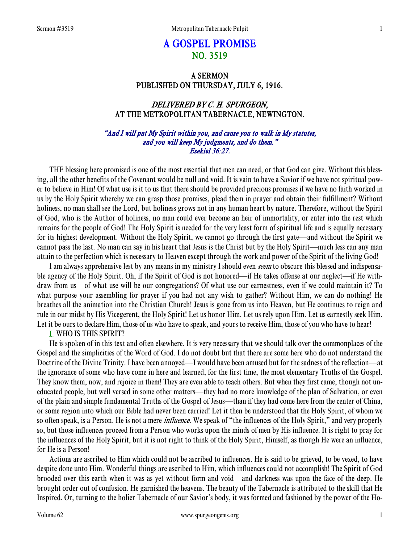# A GOSPEL PROMISE NO. 3519

## A SERMON PUBLISHED ON THURSDAY, JULY 6, 1916.

## DELIVERED BY C. H. SPURGEON, AT THE METROPOLITAN TABERNACLE, NEWINGTON.

## "And I will put My Spirit within you, and cause you to walk in My statutes, and you will keep My judgments, and do them." Ezekiel 36:27.

THE blessing here promised is one of the most essential that men can need, or that God can give. Without this blessing, all the other benefits of the Covenant would be null and void. It is vain to have a Savior if we have not spiritual power to believe in Him! Of what use is it to us that there should be provided precious promises if we have no faith worked in us by the Holy Spirit whereby we can grasp those promises, plead them in prayer and obtain their fulfillment? Without holiness, no man shall see the Lord, but holiness grows not in any human heart by nature. Therefore, without the Spirit of God, who is the Author of holiness, no man could ever become an heir of immortality, or enter into the rest which remains for the people of God! The Holy Spirit is needed for the very least form of spiritual life and is equally necessary for its highest development. Without the Holy Spirit, we cannot go through the first gate—and without the Spirit we cannot pass the last. No man can say in his heart that Jesus is the Christ but by the Holy Spirit—much less can any man attain to the perfection which is necessary to Heaven except through the work and power of the Spirit of the living God!

I am always apprehensive lest by any means in my ministry I should even seem to obscure this blessed and indispensable agency of the Holy Spirit. Oh, if the Spirit of God is not honored—if He takes offense at our neglect—if He withdraw from us—of what use will be our congregations? Of what use our earnestness, even if we could maintain it? To what purpose your assembling for prayer if you had not any wish to gather? Without Him, we can do nothing! He breathes all the animation into the Christian Church! Jesus is gone from us into Heaven, but He continues to reign and rule in our midst by His Vicegerent, the Holy Spirit! Let us honor Him. Let us rely upon Him. Let us earnestly seek Him. Let it be ours to declare Him, those of us who have to speak, and yours to receive Him, those of you who have to hear!

### I. WHO IS THIS SPIRIT?

He is spoken of in this text and often elsewhere. It is very necessary that we should talk over the commonplaces of the Gospel and the simplicities of the Word of God. I do not doubt but that there are some here who do not understand the Doctrine of the Divine Trinity. I have been annoyed—I would have been amused but for the sadness of the reflection—at the ignorance of some who have come in here and learned, for the first time, the most elementary Truths of the Gospel. They know them, now, and rejoice in them! They are even able to teach others. But when they first came, though not uneducated people, but well versed in some other matters—they had no more knowledge of the plan of Salvation, or even of the plain and simple fundamental Truths of the Gospel of Jesus—than if they had come here from the center of China, or some region into which our Bible had never been carried! Let it then be understood that the Holy Spirit, of whom we so often speak, is a Person. He is not a mere *influence*. We speak of "the influences of the Holy Spirit," and very properly so, but those influences proceed from a Person who works upon the minds of men by His influence. It is right to pray for the influences of the Holy Spirit, but it is not right to think of the Holy Spirit, Himself, as though He were an influence, for He is a Person!

Actions are ascribed to Him which could not be ascribed to influences. He is said to be grieved, to be vexed, to have despite done unto Him. Wonderful things are ascribed to Him, which influences could not accomplish! The Spirit of God brooded over this earth when it was as yet without form and void—and darkness was upon the face of the deep. He brought order out of confusion. He garnished the heavens. The beauty of the Tabernacle is attributed to the skill that He Inspired. Or, turning to the holier Tabernacle of our Savior's body, it was formed and fashioned by the power of the Ho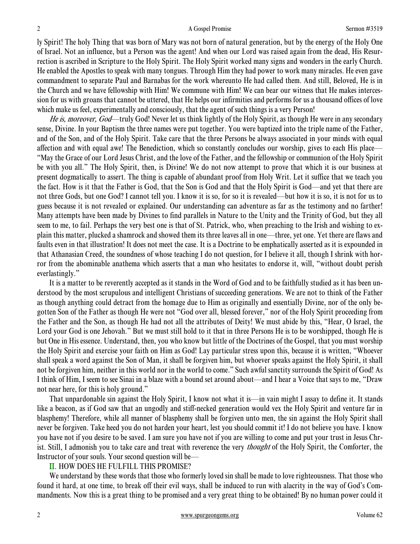ly Spirit! The holy Thing that was born of Mary was not born of natural generation, but by the energy of the Holy One of Israel. Not an influence, but a Person was the agent! And when our Lord was raised again from the dead, His Resurrection is ascribed in Scripture to the Holy Spirit. The Holy Spirit worked many signs and wonders in the early Church. He enabled the Apostles to speak with many tongues. Through Him they had power to work many miracles. He even gave commandment to separate Paul and Barnabas for the work whereunto He had called them. And still, Beloved, He is in the Church and we have fellowship with Him! We commune with Him! We can bear our witness that He makes intercession for us with groans that cannot be uttered, that He helps our infirmities and performs for us a thousand offices of love which make us feel, experimentally and consciously, that the agent of such things is a very Person!

He is, moreover, God—truly God! Never let us think lightly of the Holy Spirit, as though He were in any secondary sense, Divine. In your Baptism the three names were put together. You were baptized into the triple name of the Father, and of the Son, and of the Holy Spirit. Take care that the three Persons be always associated in your minds with equal affection and with equal awe! The Benediction, which so constantly concludes our worship, gives to each His place— "May the Grace of our Lord Jesus Christ, and the love of the Father, and the fellowship or communion of the Holy Spirit be with you all." The Holy Spirit, then, is Divine! We do not now attempt to prove that which it is our business at present dogmatically to assert. The thing is capable of abundant proof from Holy Writ. Let it suffice that we teach you the fact. How is it that the Father is God, that the Son is God and that the Holy Spirit is God—and yet that there are not three Gods, but one God? I cannot tell you. I know it is so, for so it is revealed—but how it is so, it is not for us to guess because it is not revealed or explained. Our understanding can adventure as far as the testimony and no farther! Many attempts have been made by Divines to find parallels in Nature to the Unity and the Trinity of God, but they all seem to me, to fail. Perhaps the very best one is that of St. Patrick, who, when preaching to the Irish and wishing to explain this matter, plucked a shamrock and showed them its three leaves all in one—three, yet one. Yet there are flaws and faults even in that illustration! It does not meet the case. It is a Doctrine to be emphatically asserted as it is expounded in that Athanasian Creed, the soundness of whose teaching I do not question, for I believe it all, though I shrink with horror from the abominable anathema which asserts that a man who hesitates to endorse it, will, "without doubt perish everlastingly."

It is a matter to be reverently accepted as it stands in the Word of God and to be faithfully studied as it has been understood by the most scrupulous and intelligent Christians of succeeding generations. We are not to think of the Father as though anything could detract from the homage due to Him as originally and essentially Divine, nor of the only begotten Son of the Father as though He were not "God over all, blessed forever," nor of the Holy Spirit proceeding from the Father and the Son, as though He had not all the attributes of Deity! We must abide by this, "Hear, O Israel, the Lord your God is one Jehovah." But we must still hold to it that in three Persons He is to be worshipped, though He is but One in His essence. Understand, then, you who know but little of the Doctrines of the Gospel, that you must worship the Holy Spirit and exercise your faith on Him as God! Lay particular stress upon this, because it is written, "Whoever shall speak a word against the Son of Man, it shall be forgiven him, but whoever speaks against the Holy Spirit, it shall not be forgiven him, neither in this world nor in the world to come." Such awful sanctity surrounds the Spirit of God! As I think of Him, I seem to see Sinai in a blaze with a bound set around about—and I hear a Voice that says to me, "Draw not near here, for this is holy ground."

That unpardonable sin against the Holy Spirit, I know not what it is—in vain might I assay to define it. It stands like a beacon, as if God saw that an ungodly and stiff-necked generation would vex the Holy Spirit and venture far in blasphemy! Therefore, while all manner of blasphemy shall be forgiven unto men, the sin against the Holy Spirit shall never be forgiven. Take heed you do not harden your heart, lest you should commit it! I do not believe you have. I know you have not if you desire to be saved. I am sure you have not if you are willing to come and put your trust in Jesus Christ. Still, I admonish you to take care and treat with reverence the very *thought* of the Holy Spirit, the Comforter, the Instructor of your souls. Your second question will be—

#### II. HOW DOES HE FULFILL THIS PROMISE?

We understand by these words that those who formerly loved sin shall be made to love righteousness. That those who found it hard, at one time, to break off their evil ways, shall be induced to run with alacrity in the way of God's Commandments. Now this is a great thing to be promised and a very great thing to be obtained! By no human power could it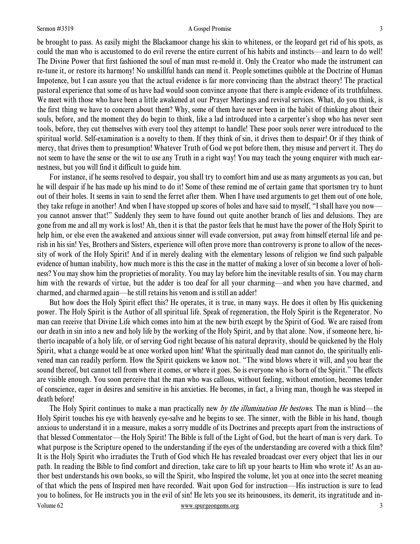#### Sermon #3519 **A** Gospel Promise 3

be brought to pass. As easily might the Blackamoor change his skin to whiteness, or the leopard get rid of his spots, as could the man who is accustomed to do evil reverse the entire current of his habits and instincts—and learn to do well! The Divine Power that first fashioned the soul of man must re-mold it. Only the Creator who made the instrument can

re-tune it, or restore its harmony! No unskillful hands can mend it. People sometimes quibble at the Doctrine of Human Impotence, but I can assure you that the actual evidence is far more convincing than the abstract theory! The practical pastoral experience that some of us have had would soon convince anyone that there is ample evidence of its truthfulness. We meet with those who have been a little awakened at our Prayer Meetings and revival services. What, do you think, is the first thing we have to concern about them? Why, some of them have never been in the habit of thinking about their souls, before, and the moment they do begin to think, like a lad introduced into a carpenter's shop who has never seen tools, before, they cut themselves with every tool they attempt to handle! These poor souls never were introduced to the spiritual world. Self-examination is a novelty to them. If they think of sin, it drives them to despair! Or if they think of mercy, that drives them to presumption! Whatever Truth of God we put before them, they misuse and pervert it. They do not seem to have the sense or the wit to use any Truth in a right way! You may teach the young enquirer with much earnestness, but you will find it difficult to guide him.

For instance, if he seems resolved to despair, you shall try to comfort him and use as many arguments as you can, but he will despair if he has made up his mind to do it! Some of these remind me of certain game that sportsmen try to hunt out of their holes. It seems in vain to send the ferret after them. When I have used arguments to get them out of one hole, they take refuge in another! And when I have stopped up scores of holes and have said to myself, "I shall have you now you cannot answer that!" Suddenly they seem to have found out quite another branch of lies and delusions. They are gone from me and all my work is lost! Ah, then it is that the pastor feels that he must have the power of the Holy Spirit to help him, or else even the awakened and anxious sinner will evade conversion, put away from himself eternal life and perish in his sin! Yes, Brothers and Sisters, experience will often prove more than controversy is prone to allow of the necessity of work of the Holy Spirit! And if in merely dealing with the elementary lessons of religion we find such palpable evidence of human inability, how much more is this the case in the matter of making a lover of sin become a lover of holiness? You may show him the proprieties of morality. You may lay before him the inevitable results of sin. You may charm him with the rewards of virtue, but the adder is too deaf for all your charming—and when you have charmed, and charmed, and charmed again—he still retains his venom and is still an adder!

But how does the Holy Spirit effect this? He operates, it is true, in many ways. He does it often by His quickening power. The Holy Spirit is the Author of all spiritual life. Speak of regeneration, the Holy Spirit is the Regenerator. No man can receive that Divine Life which comes into him at the new birth except by the Spirit of God. We are raised from our death in sin into a new and holy life by the working of the Holy Spirit, and by that alone. Now, if someone here, hitherto incapable of a holy life, or of serving God right because of his natural depravity, should be quickened by the Holy Spirit, what a change would be at once worked upon him! What the spiritually dead man cannot do, the spiritually enlivened man can readily perform. How the Spirit quickens we know not. "The wind blows where it will, and you hear the sound thereof, but cannot tell from where it comes, or where it goes. So is everyone who is born of the Spirit." The effects are visible enough. You soon perceive that the man who was callous, without feeling, without emotion, becomes tender of conscience, eager in desires and sensitive in his anxieties. He becomes, in fact, a living man, though he was steeped in death before!

Volume 62 www.spurgeongems.org 3 The Holy Spirit continues to make a man practically new by the *illumination He bestows*. The man is blind—the Holy Spirit touches his eye with heavenly eye-salve and he begins to see. The sinner, with the Bible in his hand, though anxious to understand it in a measure, makes a sorry muddle of its Doctrines and precepts apart from the instructions of that blessed Commentator—the Holy Spirit! The Bible is full of the Light of God, but the heart of man is very dark. To what purpose is the Scripture opened to the understanding if the eyes of the understanding are covered with a thick film? It is the Holy Spirit who irradiates the Truth of God which He has revealed broadcast over every object that lies in our path. In reading the Bible to find comfort and direction, take care to lift up your hearts to Him who wrote it! As an author best understands his own books, so will the Spirit, who Inspired the volume, let you at once into the secret meaning of that which the pens of Inspired men have recorded. Wait upon God for instruction—His instruction is sure to lead you to holiness, for He instructs you in the evil of sin! He lets you see its heinousness, its demerit, its ingratitude and in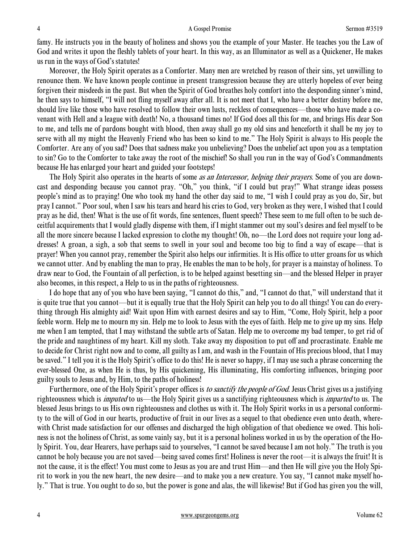famy. He instructs you in the beauty of holiness and shows you the example of your Master. He teaches you the Law of God and writes it upon the fleshly tablets of your heart. In this way, as an Illuminator as well as a Quickener, He makes us run in the ways of God's statutes!

Moreover, the Holy Spirit operates as a Comforter. Many men are wretched by reason of their sins, yet unwilling to renounce them. We have known people continue in present transgression because they are utterly hopeless of ever being forgiven their misdeeds in the past. But when the Spirit of God breathes holy comfort into the desponding sinner's mind, he then says to himself, "I will not fling myself away after all. It is not meet that I, who have a better destiny before me, should live like those who have resolved to follow their own lusts, reckless of consequences—those who have made a covenant with Hell and a league with death! No, a thousand times no! If God does all this for me, and brings His dear Son to me, and tells me of pardons bought with blood, then away shall go my old sins and henceforth it shall be my joy to serve with all my might the Heavenly Friend who has been so kind to me." The Holy Spirit is always to His people the Comforter. Are any of you sad? Does that sadness make you unbelieving? Does the unbelief act upon you as a temptation to sin? Go to the Comforter to take away the root of the mischief! So shall you run in the way of God's Commandments because He has enlarged your heart and guided your footsteps!

The Holy Spirit also operates in the hearts of some *as an Intercessor, helping their prayers*. Some of you are downcast and desponding because you cannot pray. "Oh," you think, "if I could but pray!" What strange ideas possess people's mind as to praying! One who took my hand the other day said to me, "I wish I could pray as you do, Sir, but pray I cannot." Poor soul, when I saw his tears and heard his cries to God, very broken as they were, I wished that I could pray as he did, then! What is the use of fit words, fine sentences, fluent speech? These seem to me full often to be such deceitful acquirements that I would gladly dispense with them, if I might stammer out my soul's desires and feel myself to be all the more sincere because I lacked expression to clothe my thought! Oh, no—the Lord does not require your long addresses! A groan, a sigh, a sob that seems to swell in your soul and become too big to find a way of escape—that is prayer! When you cannot pray, remember the Spirit also helps our infirmities. It is His office to utter groans for us which we cannot utter. And by enabling the man to pray, He enables the man to be holy, for prayer is a mainstay of holiness. To draw near to God, the Fountain of all perfection, is to be helped against besetting sin—and the blessed Helper in prayer also becomes, in this respect, a Help to us in the paths of righteousness.

I do hope that any of you who have been saying, "I cannot do this," and, "I cannot do that," will understand that it is quite true that you cannot—but it is equally true that the Holy Spirit can help you to do all things! You can do everything through His almighty aid! Wait upon Him with earnest desires and say to Him, "Come, Holy Spirit, help a poor feeble worm. Help me to mourn my sin. Help me to look to Jesus with the eyes of faith. Help me to give up my sins. Help me when I am tempted, that I may withstand the subtle arts of Satan. Help me to overcome my bad temper, to get rid of the pride and naughtiness of my heart. Kill my sloth. Take away my disposition to put off and procrastinate. Enable me to decide for Christ right now and to come, all guilty as I am, and wash in the Fountain of His precious blood, that I may be saved." I tell you it is the Holy Spirit's office to do this! He is never so happy, if I may use such a phrase concerning the ever-blessed One, as when He is thus, by His quickening, His illuminating, His comforting influences, bringing poor guilty souls to Jesus and, by Him, to the paths of holiness!

Furthermore, one of the Holy Spirit's proper offices is *to sanctify the people of God*. Jesus Christ gives us a justifying righteousness which is *imputed* to us—the Holy Spirit gives us a sanctifying righteousness which is *imparted* to us. The blessed Jesus brings to us His own righteousness and clothes us with it. The Holy Spirit works in us a personal conformity to the will of God in our hearts, productive of fruit in our lives as a sequel to that obedience even unto death, wherewith Christ made satisfaction for our offenses and discharged the high obligation of that obedience we owed. This holiness is not the holiness of Christ, as some vainly say, but it is a personal holiness worked in us by the operation of the Holy Spirit. You, dear Hearers, have perhaps said to yourselves, "I cannot be saved because I am not holy." The truth is you cannot be holy because you are not saved—being saved comes first! Holiness is never the root—it is always the fruit! It is not the cause, it is the effect! You must come to Jesus as you are and trust Him—and then He will give you the Holy Spirit to work in you the new heart, the new desire—and to make you a new creature. You say, "I cannot make myself holy." That is true. You ought to do so, but the power is gone and alas, the will likewise! But if God has given you the will,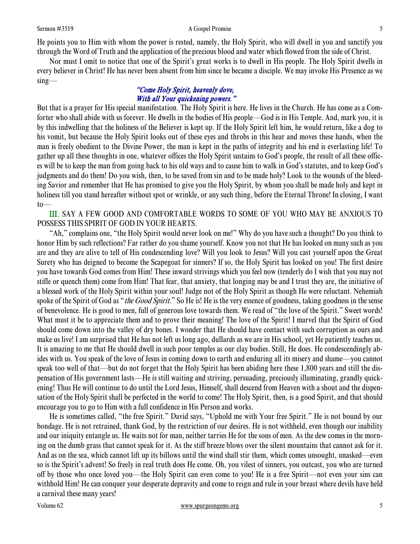He points you to Him with whom the power is rested, namely, the Holy Spirit, who will dwell in you and sanctify you through the Word of Truth and the application of the precious blood and water which flowed from the side of Christ.

Nor must I omit to notice that one of the Spirit's great works is to dwell in His people. The Holy Spirit dwells in every believer in Christ! He has never been absent from him since he became a disciple. We may invoke His Presence as we sing—

### "Come Holy Spirit, heavenly dove, With all Your quickening powers."

But that is a prayer for His special manifestation. The Holy Spirit is here. He lives in the Church. He has come as a Comforter who shall abide with us forever. He dwells in the bodies of His people—God is in His Temple. And, mark you, it is by this indwelling that the holiness of the Believer is kept up. If the Holy Spirit left him, he would return, like a dog to his vomit, but because the Holy Spirit looks out of these eyes and throbs in this hear and moves these hands, when the man is freely obedient to the Divine Power, the man is kept in the paths of integrity and his end is everlasting life! To gather up all these thoughts in one, whatever offices the Holy Spirit sustains to God's people, the result of all these offices will be to keep the man from going back to his old ways and to cause him to walk in God's statutes, and to keep God's judgments and do them! Do you wish, then, to be saved from sin and to be made holy? Look to the wounds of the bleeding Savior and remember that He has promised to give you the Holy Spirit, by whom you shall be made holy and kept in holiness till you stand hereafter without spot or wrinkle, or any such thing, before the Eternal Throne! In closing, I want to—

III. SAY A FEW GOOD AND COMFORTABLE WORDS TO SOME OF YOU WHO MAY BE ANXIOUS TO POSSESS THIS SPIRIT OF GOD IN YOUR HEARTS.

"Ah," complains one, "the Holy Spirit would never look on me!" Why do you have such a thought? Do you think to honor Him by such reflections? Far rather do you shame yourself. Know you not that He has looked on many such as you are and they are alive to tell of His condescending love? Will you look to Jesus? Will you cast yourself upon the Great Surety who has deigned to become the Scapegoat for sinners? If so, the Holy Spirit has looked on you! The first desire you have towards God comes from Him! These inward strivings which you feel now (tenderly do I wish that you may not stifle or quench them) come from Him! That fear, that anxiety, that longing may be and I trust they are, the initiative of a blessed work of the Holy Spirit within your soul! Judge not of the Holy Spirit as though He were reluctant. Nehemiah spoke of the Spirit of God as "*the Good Spirit*." So He is! He is the very essence of goodness, taking goodness in the sense of benevolence. He is good to men, full of generous love towards them. We read of "the love of the Spirit." Sweet words! What must it be to appreciate them and to prove their meaning! The love of the Spirit! I marvel that the Spirit of God should come down into the valley of dry bones. I wonder that He should have contact with such corruption as ours and make us live! I am surprised that He has not left us long ago, dullards as we are in His school, yet He patiently teaches us. It is amazing to me that He should dwell in such poor temples as our clay bodies. Still, He does. He condescendingly abides with us. You speak of the love of Jesus in coming down to earth and enduring all its misery and shame—you cannot speak too well of that—but do not forget that the Holy Spirit has been abiding here these 1,800 years and still the dispensation of His government lasts—He is still waiting and striving, persuading, preciously illuminating, grandly quickening! Thus He will continue to do until the Lord Jesus, Himself, shall descend from Heaven with a shout and the dispensation of the Holy Spirit shall be perfected in the world to come! The Holy Spirit, then, is a good Spirit, and that should encourage you to go to Him with a full confidence in His Person and works.

He is sometimes called, "the free Spirit." David says, "Uphold me with Your free Spirit." He is not bound by our bondage. He is not retrained, thank God, by the restriction of our desires. He is not withheld, even though our inability and our iniquity entangle us. He waits not for man, neither tarries He for the sons of men. As the dew comes in the morning on the dumb grass that cannot speak for it. As the stiff breeze blows over the silent mountains that cannot ask for it. And as on the sea, which cannot lift up its billows until the wind shall stir them, which comes unsought, unasked—even so is the Spirit's advent! So freely in real truth does He come. Oh, you vilest of sinners, you outcast, you who are turned off by those who once loved you—the Holy Spirit can even come to you! He is a free Spirit—not even your sins can withhold Him! He can conquer your desperate depravity and come to reign and rule in your breast where devils have held a carnival these many years!

#### Volume 62 www.spurgeongems.org 5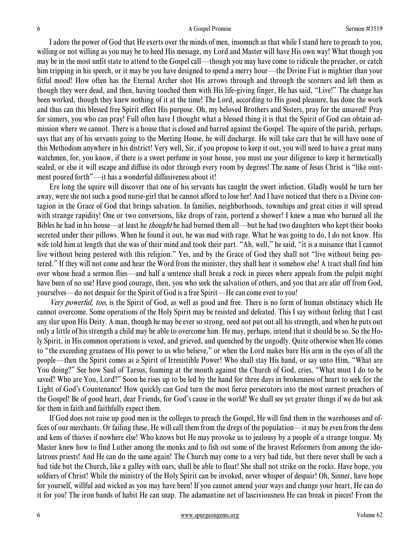I adore the power of God that He exerts over the minds of men, insomuch as that while I stand here to preach to you, willing or not willing as you may be to heed His message, my Lord and Master will have His own way! What though you may be in the most unfit state to attend to the Gospel call—though you may have come to ridicule the preacher, or catch him tripping in his speech, or it may be you have designed to spend a merry hour—the Divine Fiat is mightier than your fitful mood! How often has the Eternal Archer shot His arrows through and through the scorners and left them as though they were dead, and then, having touched them with His life-giving finger, He has said, "Live!" The change has been worked, though they knew nothing of it at the time! The Lord, according to His good pleasure, has done the work and thus can this blessed free Spirit effect His purpose. Oh, my beloved Brothers and Sisters, pray for the unsaved! Pray for sinners, you who can pray! Full often have I thought what a blessed thing it is that the Spirit of God can obtain admission where we cannot. There is a house that is closed and barred against the Gospel. The squire of the parish, perhaps, says that any of his servants going to the Meeting House, he will discharge. He will take care that he will have none of this Methodism anywhere in his district! Very well, Sir, if you propose to keep it out, you will need to have a great many watchmen, for, you know, if there is a sweet perfume in your house, you must use your diligence to keep it hermetically sealed, or else it will escape and diffuse its odor through every room by degrees! The name of Jesus Christ is "like ointment poured forth"—it has a wonderful diffusiveness about it!

Ere long the squire will discover that one of his servants has caught the sweet infection. Gladly would he turn her away, were she not such a good nurse-girl that he cannot afford to lose her! And I have noticed that there is a Divine contagion in the Grace of God that brings salvation. In families, neighborhoods, townships and great cities it will spread with strange rapidity! One or two conversions, like drops of rain, portend a shower! I knew a man who burned all the Bibles he had in his house—at least he *thought* he had burned them all—but he had two daughters who kept their books secreted under their pillows. When he found it out, he was mad with rage. What he was going to do, I do not know. His wife told him at length that she was of their mind and took their part. "Ah, well," he said, "it is a nuisance that I cannot live without being pestered with this religion." Yes, and by the Grace of God they shall not "live without being pestered." If they will not come and hear the Word from the minister, they shall hear it somehow else! A tract shall find him over whose head a sermon flies—and half a sentence shall break a rock in pieces where appeals from the pulpit might have been of no use! Have good courage, then, you who seek the salvation of others, and you that are afar off from God, yourselves—do not despair for the Spirit of God is a free Spirit—He can come even to you!

Very powerful, too, is the Spirit of God, as well as good and free. There is no form of human obstinacy which He cannot overcome. Some operations of the Holy Spirit may be resisted and defeated. This I say without feeling that I cast any slur upon His Deity. A man, though he may be ever so strong, need not put out all his strength, and when he puts out only a little of his strength a child may be able to overcome him. He may, perhaps, intend that it should be so. So the Holy Spirit, in His common operations is vexed, and grieved, and quenched by the ungodly. Quite otherwise when He comes to "the exceeding greatness of His power to us who believe," or when the Lord makes bare His arm in the eyes of all the people—then the Spirit comes as a Spirit of Irresistible Power! Who shall stay His hand, or say unto Him, "What are You doing?" See how Saul of Tarsus, foaming at the mouth against the Church of God, cries, "What must I do to be saved? Who are You, Lord?" Soon he rises up to be led by the hand for three days in brokenness of heart to seek for the Light of God's Countenance! How quickly can God turn the most fierce persecutors into the most earnest preachers of the Gospel! Be of good heart, dear Friends, for God's cause in the world! We shall see yet greater things if we do but ask for them in faith and faithfully expect them.

If God does not raise up good men in the colleges to preach the Gospel, He will find them in the warehouses and offices of our merchants. Or failing these, He will call them from the dregs of the population—it may be even from the dens and kens of thieves if nowhere else! Who knows but He may provoke us to jealousy by a people of a strange tongue. My Master knew how to find Luther among the monks and to fish out some of the bravest Reformers from among the idolatrous priests! And He can do the same again! The Church may come to a very bad tide, but there never shall be such a bad tide but the Church, like a galley with oars, shall be able to float! She shall not strike on the rocks. Have hope, you soldiers of Christ! While the ministry of the Holy Spirit can be invoked, never whisper of despair! Oh, Sinner, have hope for yourself, willful and wicked as you may have been! If you cannot amend your ways and change your heart, He can do it for you! The iron bands of habit He can snap. The adamantine net of lasciviousness He can break in pieces! From the